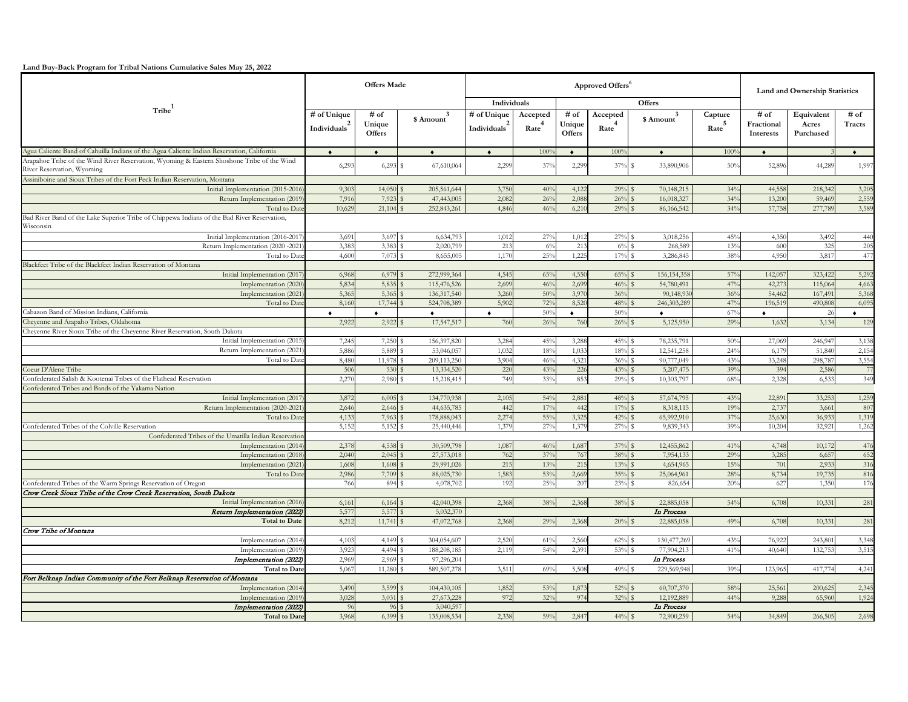**Land Buy-Back Program for Tribal Nations Cumulative Sales May 25, 2022** 

|                                                                                                                          | <b>Offers Made</b>                      |                                 |                              | Approved Offers <sup>6</sup>            |                               |                          |                               |                          |                              | Land and Ownership Statistics   |                                  |                  |  |
|--------------------------------------------------------------------------------------------------------------------------|-----------------------------------------|---------------------------------|------------------------------|-----------------------------------------|-------------------------------|--------------------------|-------------------------------|--------------------------|------------------------------|---------------------------------|----------------------------------|------------------|--|
|                                                                                                                          |                                         |                                 |                              | Individuals                             |                               | Offers                   |                               |                          |                              |                                 |                                  |                  |  |
| Tribe                                                                                                                    | # of Unique<br>Individuals <sup>2</sup> | # of<br>Unique<br><b>Offers</b> | \$Amount <sup>3</sup>        | # of Unique<br>Individuals <sup>2</sup> | Accepted<br>Rate <sup>4</sup> | # of<br>Unique<br>Offers | Accepted<br>Rate <sup>4</sup> | $$\text{Amount}^3$$      | Capture<br>$\mathrm{Rate}^5$ | # of<br>Fractional<br>Interests | Equivalent<br>Acres<br>Purchased | $#$ of<br>Tracts |  |
| Agua Caliente Band of Cahuilla Indians of the Agua Caliente Indian Reservation, California                               | $\bullet$                               | $\bullet$                       | $\bullet$                    | $\bullet$                               | 100%                          | $\bullet$                | 100%                          | $\bullet$                | 100%                         | $\bullet$                       |                                  | $\bullet$        |  |
| Arapahoe Tribe of the Wind River Reservation, Wyoming & Eastern Shoshone Tribe of the Wind<br>River Reservation, Wyoming | 6,293                                   | 6,293                           | 67,610,064<br>s              | 2,299                                   | $37^{\circ}$                  | 2,299                    | 37%                           | 33,890,906               | 50%                          | 52,896                          | 44,289                           | 1,997            |  |
| Assiniboine and Sioux Tribes of the Fort Peck Indian Reservation, Montana                                                |                                         |                                 |                              |                                         |                               |                          |                               |                          |                              |                                 |                                  |                  |  |
| Initial Implementation (2015-2016                                                                                        | 9,303                                   | 14,050                          | 205,561,644                  | 3,750                                   | 40 <sup>o</sup>               | 4,122                    | 29%                           | 70,148,215               | 34%                          | 44,558                          | 218,342                          | 3,205            |  |
| Return Implementation (2019)                                                                                             | 7,910                                   | 7,923                           | 47,443,005                   | 2,082                                   | $26^{\circ}$                  | 2,088                    | 26%                           | 16,018,327               | 34%                          | 13,200                          | 59,469                           | 2,559            |  |
| Total to Date                                                                                                            | 10,62                                   | 21,104                          | 252,843,261                  | 4,840                                   | 46%                           | 6,21(                    | 29%                           | 86,166,542               | 34%                          | 57,758                          | 277,78                           | 3,589            |  |
| Bad River Band of the Lake Superior Tribe of Chippewa Indians of the Bad River Reservation,<br>Wisconsin                 |                                         |                                 |                              |                                         |                               |                          |                               |                          |                              |                                 |                                  |                  |  |
| Initial Implementation (2016-201)                                                                                        | 3,691                                   | 3,697                           | 6,634,793                    | 1,012                                   | $27^{\circ}$                  | 1,012                    | $27^{\circ}$                  | 3,018,256                | 45%                          | 4,350                           | 3,492                            | 44(              |  |
| Return Implementation (2020 -2021                                                                                        | 3,383                                   | 3,383                           | 2,020,799                    | 213                                     | 6%                            | 213                      | 6%                            | 268,589                  | 13%                          | 600                             | 325                              | 205              |  |
| Total to Date                                                                                                            | 4.600                                   | 7,073 \$                        | 8,655,005                    | 1,17                                    | 25%                           | 1,225                    | 17%                           | 3,286,845                | 38%                          | 4,950                           | 3,817                            | 477              |  |
| Blackfeet Tribe of the Blackfeet Indian Reservation of Montana                                                           |                                         |                                 |                              |                                         |                               |                          |                               |                          |                              |                                 |                                  |                  |  |
| Initial Implementation (2017                                                                                             | 6,968                                   | 6,979<br>5,835                  | 272,999,364                  | 4,545                                   | 65%                           | 4,550<br>2,699           | 65%                           | 156, 154, 358            | 57%<br>$47^{\circ}$          | 142,057                         | 323,422                          | 5,292            |  |
| Implementation (2020)                                                                                                    | 5,834<br>5,365                          | 5,365                           | 115,476,526<br>136,317,540   | 2,699<br>3,26                           | 46%<br>50%                    | 3,970                    | 46%<br>36%                    | 54,780,491<br>90,148,930 | 36%                          | 42,273<br>54,462                | 115,06<br>167,49                 | 4,66<br>5,368    |  |
| Implementation (2021)<br>Total to Date                                                                                   | 8,160                                   | 17,744                          | 524,708,389                  | 5,902                                   | 72%                           | 8,52(                    | 48%                           | 246,303,289              | 47%                          | 196,519                         | 490,80                           | 6,095            |  |
| Cabazon Band of Mission Indians, California                                                                              | $\bullet$                               | $\bullet$                       | $\bullet$                    | $\bullet$                               | 50%                           | $\bullet$                | 50%                           | $\bullet$                | 67%                          | $\bullet$                       | -26                              | $\bullet$        |  |
| Cheyenne and Arapaho Tribes, Oklahoma                                                                                    | 2,922                                   | 2,922                           | 17,547,517<br>$\mathbf S$    | 760                                     | 26%                           | 760                      | 26%                           | 5,125,950                | 29%                          | 1,632                           | 3,134                            | 129              |  |
| Chevenne River Sioux Tribe of the Chevenne River Reservation, South Dakota                                               |                                         |                                 |                              |                                         |                               |                          |                               |                          |                              |                                 |                                  |                  |  |
| Initial Implementation (2015                                                                                             | 7,245                                   | 7,250                           | 156,397,820                  | 3,284                                   | 45%                           | 3,288                    | 45%                           | 78,235,791               | 50%                          | 27,069                          | 246,94                           | 3,138            |  |
| Return Implementation (2021                                                                                              | 5,88                                    | 5,889                           | 53,046,057                   | 1,032                                   | 18%                           | 1,03                     | 18%                           | 12,541,258               | 24%                          | 6,17                            | 51,84                            | 2,154            |  |
| Total to Date                                                                                                            | 8,480                                   | 11,978                          | 209,113,250<br>s             | 3,904                                   | $46^{\circ}$                  | 4,321                    | 36%                           | 90,777,049               | 43%                          | 33,248                          | 298,78                           | 3,554            |  |
| Coeur D'Alene Tribe                                                                                                      | 506                                     | 530                             | 13,334,520                   | 220                                     | $43^{\circ}$                  | 226                      | $43^{\circ}$                  | 5,207,475                | 39%                          | 394                             | 2,580                            | 77               |  |
| Confederated Salish & Kootenai Tribes of the Flathead Reservation                                                        | 2.27                                    | 2,980                           | 15,218,415<br>s              | 749                                     | 33%                           | 853                      | 29%                           | 10,303,797               | 68%                          | 2,328                           | 6,533                            | 349              |  |
| Confederated Tribes and Bands of the Yakama Nation                                                                       |                                         |                                 |                              |                                         |                               |                          |                               |                          |                              |                                 |                                  |                  |  |
| Initial Implementation (2017                                                                                             | 3,87                                    | 6,005                           | 134,770,938                  | 2,105                                   | 54%                           | 2,881                    | 48%                           | 57,674,795               | 43%                          | 22.89                           | 33,25                            | 1,259            |  |
| Return Implementation (2020-2021                                                                                         | 2,646                                   | 2,646                           | 44,635,785                   | 442                                     | 17%                           | 442                      | 17%                           | 8,318,115                | 19%                          | 2,737                           | 3,66                             | 807              |  |
| Total to Date                                                                                                            | 4.133                                   | 7,963                           | 178,888,043<br>$\mathcal{L}$ | 2.27                                    | 55%                           | 3.325                    | $42^{\circ}$                  | 65,992,910               | $37^{\circ}$                 | 25.63                           | 36.93                            | 1,319            |  |
| Confederated Tribes of the Colville Reservation                                                                          | 5,152                                   | 5,152 \$                        | 25,440,446                   | 1,37                                    | $27^{\circ}$                  | 1,37                     | $27^{\circ}$                  | 9,839,343                | 39%                          | 10,204                          | 32,921                           | 1,262            |  |
| Confederated Tribes of the Umatilla Indian Reservation                                                                   |                                         |                                 |                              |                                         |                               |                          |                               |                          |                              |                                 |                                  |                  |  |
| Implementation (2014)                                                                                                    | 2,378                                   | 4,538                           | 30,509,798                   | 1,087                                   | 46%                           | 1,687                    | 37%                           | 12,455,862               | 41%                          | 4,748                           | 10,172                           | 476              |  |
| Implementation (2018)                                                                                                    | 2,040                                   | 2,045                           | 27,573,018                   | 762                                     | $37^{\circ}$                  | 767                      | 38%                           | 7,954,133                | 29%<br>15%                   | 3,285<br>701                    | 6,65                             | 652              |  |
| Implementation (2021)<br>Total to Date                                                                                   | 1,608<br>2,986                          | 1,608<br>7,709                  | 29,991,026<br>88,025,730     | 215<br>1,583                            | 13%<br>53%                    | 215<br>2,669             | 13%<br>35%                    | 4,654,965<br>25,064,961  | 28%                          | 8,734                           | 2,93<br>19,73.                   | 316<br>816       |  |
| Confederated Tribes of the Warm Springs Reservation of Oregon                                                            | 766                                     | 894                             | 4,078,702<br>s               | 192                                     | $25^{\circ}$                  | 207                      | 23%                           | 826,654                  | 20%                          | 627                             | 1,350                            | 176              |  |
| Crow Creek Sioux Tribe of the Crow Creek Reservation, South Dakota                                                       |                                         |                                 |                              |                                         |                               |                          |                               |                          |                              |                                 |                                  |                  |  |
| Initial Implementation (2016                                                                                             | 6,161                                   | 6,164                           | 42,040,398                   | 2,368                                   | 38%                           | 2,368                    | 38%                           | 22,885,058               | 54%                          | 6,708                           | 10,331                           | 281              |  |
| Return Implementation (2022)                                                                                             | 5,57                                    | 5,577                           | 5,032,370                    |                                         |                               |                          |                               | In Process               |                              |                                 |                                  |                  |  |
| <b>Total to Date</b>                                                                                                     | 8.212                                   | 11,741 \$                       | 47,072,768                   | 2.368                                   | 29%                           | 2.368                    | 20%                           | 22,885,058               | 49%                          | 6,708                           | 10.331                           | 281              |  |
| Crow Tribe of Montana                                                                                                    |                                         |                                 |                              |                                         |                               |                          |                               |                          |                              |                                 |                                  |                  |  |
| Implementation (2014)                                                                                                    | 4,103                                   | 4,149                           | 304,054,607                  | 2,52(                                   | 61%                           | 2,560                    | 62%                           | 130,477,269              | 43%                          | 76,922                          | 243,80                           | 3,348            |  |
| Implementation (2019                                                                                                     | 3,92                                    | 4,494                           | 188,208,185                  | 2,11                                    | 54%                           | 2,391                    | 53%                           | 77,904,213               | 41%                          | 40,640                          | 132,75                           | 3,51!            |  |
| Implementation (2022)                                                                                                    | 2,969                                   | 2,969                           | 97,296,204                   |                                         |                               |                          |                               | In Process               |                              |                                 |                                  |                  |  |
| <b>Total to Date</b>                                                                                                     | 5,067                                   | 11,280                          | 589,507,278<br>S             | 3,511                                   | 69%                           | 5,508                    | $49%$ \$                      | 229,569,948              | 39%                          | 123,965                         | 417,774                          | 4,241            |  |
| Fort Belknap Indian Community of the Fort Belknap Reservation of Montana                                                 |                                         |                                 |                              |                                         |                               |                          |                               |                          |                              |                                 |                                  |                  |  |
| Implementation (2014)                                                                                                    | 3,490                                   | 3,599                           | 104,430,105                  | 1,852                                   | 53%                           | 1,873                    | 52%                           | 60,707,370               | 58%                          | 25,561                          | 200,62                           | 2,345            |  |
| Implementation (2019)                                                                                                    | 3,028                                   | 3,031                           | 27,673,228                   | 972                                     | 32%                           | 974                      | 32%                           | 12,192,889               | 44%                          | 9,288                           | 65,960                           | 1,924            |  |
| Implementation (2022)                                                                                                    | 96                                      | 96                              | 3,040,597                    |                                         |                               |                          |                               | In Process               |                              |                                 |                                  |                  |  |
| <b>Total to Date</b>                                                                                                     | 3,968                                   | 6,399                           | 135,008,534<br>$\mathbf S$   | 2.338                                   | 59%                           | 2,847                    | 44%                           | 72,900,259               | 54%                          | 34,849                          | 266,505                          | 2,698            |  |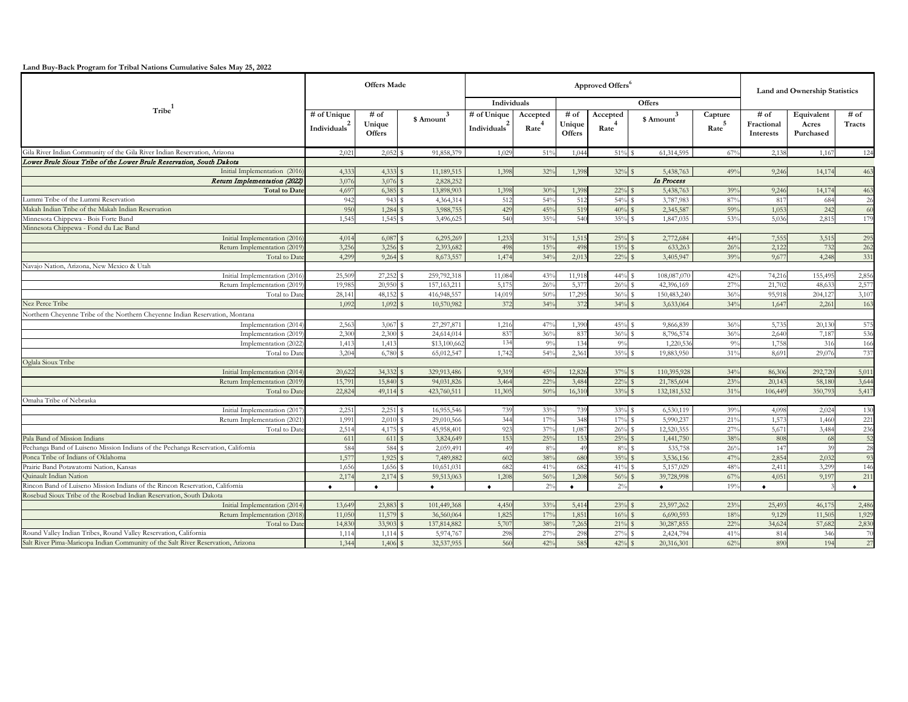**Land Buy-Back Program for Tribal Nations Cumulative Sales May 25, 2022** 

|                                                                                  | <b>Offers Made</b>       |                         |                                         |                          | <b>Land and Ownership Statistics</b> |                         |                   |                         |                   |                         |                    |           |
|----------------------------------------------------------------------------------|--------------------------|-------------------------|-----------------------------------------|--------------------------|--------------------------------------|-------------------------|-------------------|-------------------------|-------------------|-------------------------|--------------------|-----------|
|                                                                                  |                          |                         |                                         | Individuals              |                                      | Offers                  |                   |                         |                   |                         |                    |           |
| $T$ ribe $1$                                                                     | # of Unique              | $#$ of                  | $\mbox{~8\,Amount}^3$                   | # of Unique              | Accepted                             | # of                    | Accepted          | $$$ Amount <sup>3</sup> | Capture           | # of                    | Equivalent         | $#$ of    |
|                                                                                  | Individuals <sup>7</sup> | Unique<br><b>Offers</b> |                                         | Individuals <sup>*</sup> | Rate                                 | Unique<br><b>Offers</b> | $\mathrm{Rate}^4$ |                         | $\mathrm{Rate}^5$ | Fractional<br>Interests | Acres<br>Purchased | Tracts    |
| Gila River Indian Community of the Gila River Indian Reservation, Arizona        | 2,021                    | $2,052$ \$              | 91,858,379                              | 1,029                    | 51%                                  | 1,044                   | $51\%$ \$         | 61,314,595              | 67%               | 2,138                   | 1,167              | 124       |
| Lower Brule Sioux Tribe of the Lower Brule Reservation, South Dakota             |                          |                         |                                         |                          |                                      |                         |                   |                         |                   |                         |                    |           |
| Initial Implementation (2016                                                     | 4,333                    | 4,333                   | 11,189,515                              | 1,398                    | 32%                                  | 1,398                   | $32\%$ \$         | 5,438,763               | 49%               | 9,246                   | 14,174             | 463       |
| Return Implementation (2022)                                                     | 3,076                    | 3,076                   | 2,828,252                               |                          |                                      |                         |                   | In Process              |                   |                         |                    |           |
| <b>Total to Date</b>                                                             | 4,697                    | 6,385                   | 13,898,903                              | 1,398                    | 30%                                  | 1,398                   | $22\%$            | 5,438,763               | 39%               | 9,246                   | 14,17              | 463       |
| ummi Tribe of the Lummi Reservation                                              | 942                      | 943                     | 4,364,314                               | 512                      | 54%                                  | 512                     | 54%               | 3,787,983               | 87%               | 817                     | 684                | 26        |
| Makah Indian Tribe of the Makah Indian Reservation                               | 950                      | 1,284                   | 3,988,755                               | 429                      | 45%                                  | 519                     | 40%               | 2,345,587               | 59%               | 1,053                   | 242                | 60        |
| Minnesota Chippewa - Bois Forte Band                                             | 1,545                    | 1,545                   | 3,496,625                               | 540                      | 35%                                  | 540                     | 35%               | 1,847,035               | 53%               | 5,036                   | 2,81               | 179       |
| Minnesota Chippewa - Fond du Lac Band                                            |                          |                         |                                         |                          |                                      |                         |                   |                         |                   |                         |                    |           |
| Initial Implementation (2016                                                     | 4,014                    | 6,087                   | 6,295,269                               | 1,233                    | 31%                                  | 1,51!                   | 25%               | 2,772,684               | 44%               | 7,555                   | 3,51               | 295       |
| Return Implementation (2019                                                      | 3,256                    | 3,256                   | 2,393,682                               | 498                      | 15%                                  | 498                     | 15%               | 633,263                 | 26%               | 2,122                   | 732                | 262       |
| Total to Dat                                                                     | 4,299                    | 9,264                   | 8,673,557                               | 1,474                    | 34%                                  | 2,01                    | 22%               | 3,405,947               | 39%               | 9,67                    | 4,248              | 331       |
| Vavajo Nation, Arizona, New Mexico & Utah                                        |                          |                         |                                         |                          |                                      |                         |                   |                         |                   |                         |                    |           |
| Initial Implementation (2016                                                     | 25,509                   | 27,252                  | 259,792,318                             | 11,084                   | 43%                                  | 11,918                  | 44%               | 108,087,070             | 42%               | 74,216                  | 155,495            | 2,850     |
| Return Implementation (2019                                                      | 19,985                   | 20,950                  | 157, 163, 211                           | 5,17                     | $26^{\circ}$                         | 5,37                    | $26^{\circ}$      | 42,396,169              | 27%               | 21,702                  | 48.63              | 2,577     |
| Total to Date                                                                    | 28,141                   | 48,152                  | 416,948,557<br><sup>\$</sup>            | 14,019                   | 50%                                  | 17,295                  | 36%               | 150,483,240             | 36%               | 95,918                  | 204,12             | 3,107     |
| Nez Perce Tribe                                                                  | 1,092                    | 1,092                   | 10,570,982<br>$\mathbf{\hat{s}}$        | 372                      | 34%                                  | 372                     | 34%               | 3,633,064               | 34%               | 1,647                   | 2,261              | 163       |
| Northern Cheyenne Tribe of the Northern Cheyenne Indian Reservation, Montana     |                          |                         |                                         |                          |                                      |                         |                   |                         |                   |                         |                    |           |
| Implementation (2014)                                                            | 2,563                    | 3,067 \$                | 27,297,871                              | 1,216                    | 47%                                  | 1,390                   | 45%               | 9,866,839               | 36%               | 5,735                   | 20,130             | 575       |
| Implementation (2019                                                             | 2,300                    | 2,300                   | $\mathbf S$<br>24,614,014               | 837                      | 36%                                  | 837                     | 36%               | 8,796,574               | 36%               | 2,640                   | 7,18               | 536       |
| Implementation (2022)                                                            | 1,413                    | 1,413                   | \$13,100,662                            | 134                      | 9%                                   | 134                     | 9%                | 1,220,536               | 9%                | 1,758                   | 316                | 166       |
| Total to Dat                                                                     | 3.204                    | 6,780                   | 65,012,547<br><sup>s</sup>              | 1,742                    | 54%                                  | 2,361                   | 35%               | 19,883,950              | 31%               | 8,691                   | 29,076             | 737       |
| Oglala Sioux Tribe                                                               |                          |                         |                                         |                          |                                      |                         |                   |                         |                   |                         |                    |           |
| Initial Implementation (2014                                                     | 20,622                   | 34,332 \$               | 329,913,486                             | 9,319                    | 45%                                  | 12,820                  | 37%               | 110,395,928             | 34%               | 86,306                  | 292,720            | 5,011     |
| Return Implementation (2019                                                      | 15,791                   | 15,840                  | 94,031,826<br>$\mathbf{S}$              | 3,464                    | $22^{\circ}$                         | 3,484                   | 22%               | 21,785,604              | 23%               | 20,143                  | 58,180             | 3,644     |
| Total to Date                                                                    | 22,824                   | 49,114 \$               | 423,760,511                             | 11,305                   | 50%                                  | 16,31                   | 33%               | 132,181,532             | 31%               | 106,449                 | 350,793            | 5,417     |
| Omaha Tribe of Nebraska                                                          |                          |                         |                                         |                          |                                      |                         |                   |                         |                   |                         |                    | 130       |
| Initial Implementation (2017                                                     | 2,251                    | 2,251 \$                | 16,955,546<br>s                         | 739<br>344               | 33%                                  | 739<br>348              | 33%               | 6,530,119               | 39%               | 4,098<br>1,573          | 2,024              | 221       |
| Return Implementation (2021<br>Total to Dat                                      | 1,991<br>2,514           | 2,010<br>4,175          | 29,010,566<br>s                         | 923                      | 17%<br>$37^{\circ}$                  | 1,087                   | 17%<br>26%        | 5,990,237<br>12,520,355 | 21%<br>27%        | 5,671                   | 1,460<br>3,484     | 236       |
| Pala Band of Mission Indians                                                     | 611                      | 611                     | 45,958,401<br>3,824,649<br>$\mathbf{s}$ | 153                      | 25%                                  | 153                     | 25%               | 1,441,750               | 38%               | 808                     | -68                | 52        |
| Pechanga Band of Luiseno Mission Indians of the Pechanga Reservation, California | 584                      | 584                     | 2,059,491<br>٩                          | 49                       | $8^{\circ}$                          | $\overline{4}$          | 8%                | 535,758                 | 26%               | 147                     | 39                 | 28        |
| Ponca Tribe of Indians of Oklahoma                                               | 1,57                     | 1,925                   | 7,489,882                               | 602                      | 38%                                  | 680                     | 35%               | 3,536,156               | 47%               | 2,854                   | 2,032              | 93        |
| Prairie Band Potawatomi Nation, Kansas                                           | 1,65                     | 1,656                   | 10,651,031                              | 682                      | 41%                                  | 682                     | 41%               | 5,157,029               | 48%               | 2,411                   | 3,29               | 146       |
| <b>Ouinault Indian Nation</b>                                                    | 2,17                     | 2,174                   | 59,513,063                              | 1,208                    | 56%                                  | 1,208                   | 56%               | 39,728,998              | 67%               | 4,051                   | 9,19               | 211       |
| Rincon Band of Luiseno Mission Indians of the Rincon Reservation, California     |                          |                         | $\bullet$                               |                          | 2%                                   | ٠                       | $2^{\circ}$       | $\bullet$               | 19%               | ٠                       |                    | $\bullet$ |
| Rosebud Sioux Tribe of the Rosebud Indian Reservation, South Dakota              |                          |                         |                                         |                          |                                      |                         |                   |                         |                   |                         |                    |           |
| Initial Implementation (2014                                                     | 13,649                   | 23,883                  | 101,449,368                             | 4,450                    | 33%                                  | 5,414                   | 23%               | 23,597,262              | 23%               | 25,493                  | 46,17              | 2,480     |
| Return Implementation (2018                                                      | 11,050                   | 11,579                  | 36,560,064                              | 1,825                    | 17%                                  | 1,851                   | 16%               | 6,690,593               | 18%               | 9,129                   | 11,505             | 1,929     |
| Total to Date                                                                    | 14,830                   | 33,903                  | 137,814,882                             | 5,707                    | 38%                                  | 7,265                   | 21%               | 30,287,855              | 22%               | 34,624                  | 57,682             | 2,830     |
| Round Valley Indian Tribes, Round Valley Reservation, California                 | 1,114                    | 1,114                   | 5,974,767                               | 298                      | $27^{\circ}$                         | 298                     | 27%               | 2,424,794               | 41%               | 814                     | 346                | 70        |
| Salt River Pima-Maricopa Indian Community of the Salt River Reservation, Arizona | 1,344                    | 1,406                   | 32,537,955                              | 560                      | 42%                                  | 585                     | 42%               | 20,316,301              | 62%               | 890                     | 194                | 27        |